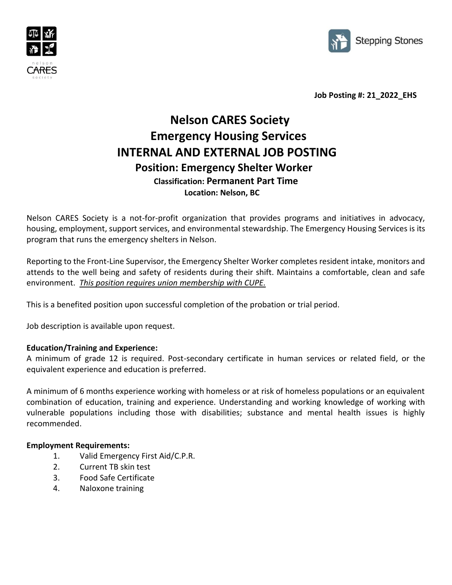



 **Job Posting #: 21\_2022\_EHS**

## **Nelson CARES Society Emergency Housing Services INTERNAL AND EXTERNAL JOB POSTING Position: Emergency Shelter Worker Classification: Permanent Part Time Location: Nelson, BC**

Nelson CARES Society is a not-for-profit organization that provides programs and initiatives in advocacy, housing, employment, support services, and environmental stewardship. The Emergency Housing Services is its program that runs the emergency shelters in Nelson.

Reporting to the Front-Line Supervisor, the Emergency Shelter Worker completes resident intake, monitors and attends to the well being and safety of residents during their shift. Maintains a comfortable, clean and safe environment. *This position requires union membership with CUPE.*

This is a benefited position upon successful completion of the probation or trial period.

Job description is available upon request.

## **Education/Training and Experience:**

A minimum of grade 12 is required. Post-secondary certificate in human services or related field, or the equivalent experience and education is preferred.

A minimum of 6 months experience working with homeless or at risk of homeless populations or an equivalent combination of education, training and experience. Understanding and working knowledge of working with vulnerable populations including those with disabilities; substance and mental health issues is highly recommended.

## **Employment Requirements:**

- 1. Valid Emergency First Aid/C.P.R.
- 2. Current TB skin test
- 3. Food Safe Certificate
- 4. Naloxone training